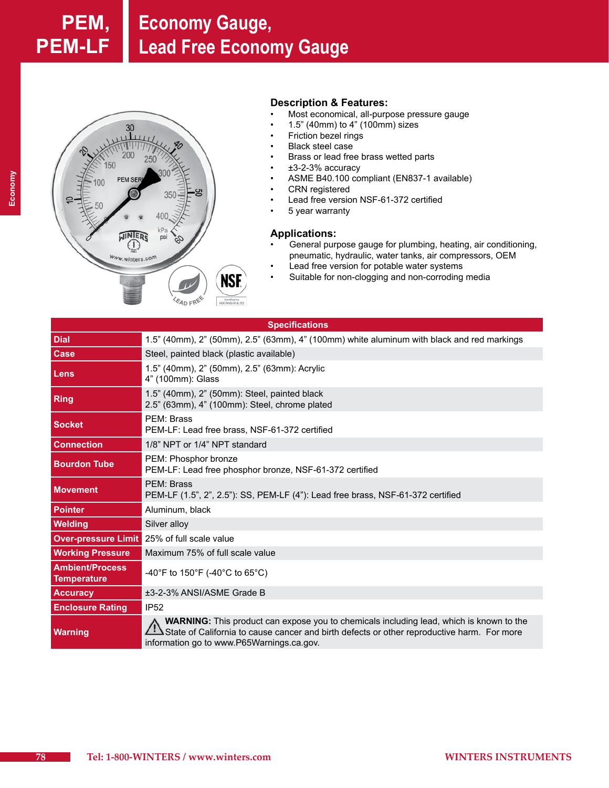

## **Description & Features:**

- Most economical, all-purpose pressure gauge
- 1.5" (40mm) to  $4"$  (100mm) sizes
- • Friction bezel rings
- **Black steel case**
- Brass or lead free brass wetted parts
- $\cdot$   $\pm$ 3-2-3% accuracy
- • ASME B40.100 compliant (EN837-1 available)
- • CRN registered
- • Lead free version NSF-61-372 certified
- 5 year warranty

### **Applications:**

- General purpose gauge for plumbing, heating, air conditioning, pneumatic, hydraulic, water tanks, air compressors, OEM
- Lead free version for potable water systems
- Suitable for non-clogging and non-corroding media

|                                              | <b>Specifications</b>                                                                                                                                                                                                                     |  |  |  |  |  |  |  |  |
|----------------------------------------------|-------------------------------------------------------------------------------------------------------------------------------------------------------------------------------------------------------------------------------------------|--|--|--|--|--|--|--|--|
| <b>Dial</b>                                  | 1.5" (40mm), 2" (50mm), 2.5" (63mm), 4" (100mm) white aluminum with black and red markings                                                                                                                                                |  |  |  |  |  |  |  |  |
| Case                                         | Steel, painted black (plastic available)                                                                                                                                                                                                  |  |  |  |  |  |  |  |  |
| Lens                                         | 1.5" (40mm), 2" (50mm), 2.5" (63mm): Acrylic<br>4" (100mm): Glass                                                                                                                                                                         |  |  |  |  |  |  |  |  |
| <b>Ring</b>                                  | 1.5" (40mm), 2" (50mm): Steel, painted black<br>2.5" (63mm), 4" (100mm): Steel, chrome plated                                                                                                                                             |  |  |  |  |  |  |  |  |
| <b>Socket</b>                                | PEM: Brass<br>PEM-LF: Lead free brass, NSF-61-372 certified                                                                                                                                                                               |  |  |  |  |  |  |  |  |
| <b>Connection</b>                            | 1/8" NPT or 1/4" NPT standard                                                                                                                                                                                                             |  |  |  |  |  |  |  |  |
| <b>Bourdon Tube</b>                          | PEM: Phosphor bronze<br>PEM-LF: Lead free phosphor bronze, NSF-61-372 certified                                                                                                                                                           |  |  |  |  |  |  |  |  |
| <b>Movement</b>                              | PFM: Brass<br>PEM-LF (1.5", 2", 2.5"): SS, PEM-LF (4"): Lead free brass, NSF-61-372 certified                                                                                                                                             |  |  |  |  |  |  |  |  |
| <b>Pointer</b>                               | Aluminum, black                                                                                                                                                                                                                           |  |  |  |  |  |  |  |  |
| <b>Welding</b>                               | Silver alloy                                                                                                                                                                                                                              |  |  |  |  |  |  |  |  |
|                                              | <b>Over-pressure Limit</b> 25% of full scale value                                                                                                                                                                                        |  |  |  |  |  |  |  |  |
| <b>Working Pressure</b>                      | Maximum 75% of full scale value                                                                                                                                                                                                           |  |  |  |  |  |  |  |  |
| <b>Ambient/Process</b><br><b>Temperature</b> | -40°F to 150°F (-40°C to 65°C)                                                                                                                                                                                                            |  |  |  |  |  |  |  |  |
| <b>Accuracy</b>                              | ±3-2-3% ANSI/ASME Grade B                                                                                                                                                                                                                 |  |  |  |  |  |  |  |  |
| <b>Enclosure Rating</b>                      | <b>IP52</b>                                                                                                                                                                                                                               |  |  |  |  |  |  |  |  |
| <b>Warning</b>                               | <b>WARNING:</b> This product can expose you to chemicals including lead, which is known to the<br>State of California to cause cancer and birth defects or other reproductive harm. For more<br>information go to www.P65Warnings.ca.gov. |  |  |  |  |  |  |  |  |

**Economy**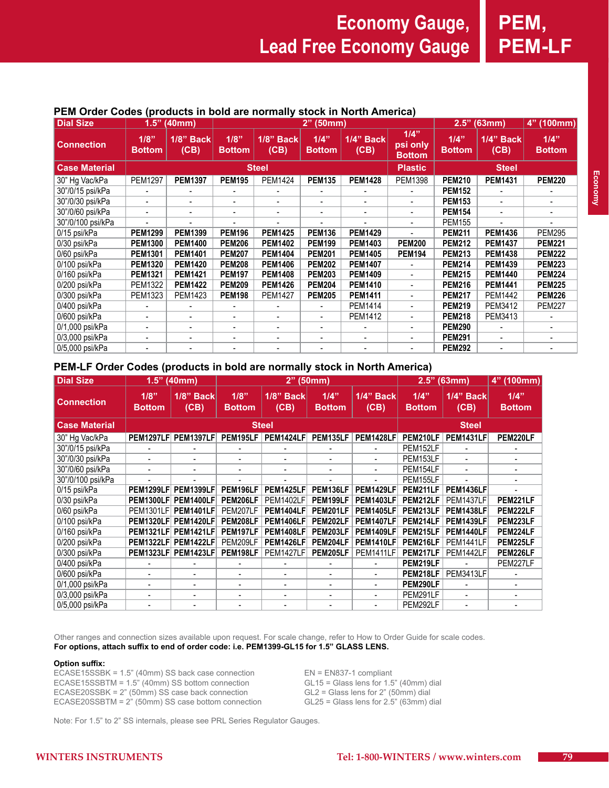**1/4"** 

### **Dial Size 1.5" (40mm) 2" (50mm) 2.5" (63mm) 4" (100mm) Connection 1/8" Bottom 1/8" Back (CB) 1/8" Bottom 1/8" Back (CB) 1/4" Bottom 1/4" Back (CB) 1/4" psi only Bottom 1/4" Bottom 1/4" Back PEM Order Codes (products in bold are normally stock in North America)**

| ,,,,,,,,,,,,,,       | <b>Bottom</b>  | (CB)           | <b>Bottom</b> | (CB)           | <b>Bottom</b>  | (CB)           | P - - - - - <i>1</i><br><b>Bottom</b> | <b>Bottom</b> | (CB)           | <b>Bottom</b> |
|----------------------|----------------|----------------|---------------|----------------|----------------|----------------|---------------------------------------|---------------|----------------|---------------|
| <b>Case Material</b> |                |                |               | <b>Steel</b>   | <b>Plastic</b> | <b>Steel</b>   |                                       |               |                |               |
| 30" Hg Vac/kPa       | <b>PEM1297</b> | <b>PEM1397</b> | <b>PEM195</b> | <b>PEM1424</b> | <b>PEM135</b>  | <b>PEM1428</b> | <b>PEM1398</b>                        | <b>PEM210</b> | <b>PEM1431</b> | <b>PEM220</b> |
| 30"/0/15 psi/kPa     |                |                |               |                |                |                |                                       | <b>PEM152</b> |                |               |
| 30"/0/30 psi/kPa     |                |                |               |                |                |                |                                       | <b>PEM153</b> |                |               |
| 30"/0/60 psi/kPa     |                |                |               |                |                |                |                                       | <b>PEM154</b> |                |               |
| 30"/0/100 psi/kPa    |                |                |               |                |                |                |                                       | <b>PEM155</b> |                |               |
| 0/15 psi/kPa         | <b>PEM1299</b> | <b>PEM1399</b> | <b>PEM196</b> | <b>PEM1425</b> | <b>PEM136</b>  | <b>PEM1429</b> |                                       | <b>PEM211</b> | <b>PEM1436</b> | <b>PEM295</b> |
| 0/30 psi/kPa         | <b>PEM1300</b> | <b>PEM1400</b> | <b>PEM206</b> | <b>PEM1402</b> | <b>PEM199</b>  | <b>PEM1403</b> | <b>PEM200</b>                         | <b>PEM212</b> | <b>PEM1437</b> | <b>PEM221</b> |
| 0/60 psi/kPa         | <b>PEM1301</b> | <b>PEM1401</b> | <b>PEM207</b> | <b>PEM1404</b> | <b>PEM201</b>  | <b>PEM1405</b> | <b>PEM194</b>                         | <b>PEM213</b> | <b>PEM1438</b> | <b>PEM222</b> |
| 0/100 psi/kPa        | <b>PEM1320</b> | <b>PEM1420</b> | <b>PEM208</b> | <b>PEM1406</b> | <b>PEM202</b>  | <b>PEM1407</b> |                                       | <b>PEM214</b> | <b>PEM1439</b> | <b>PEM223</b> |
| 0/160 psi/kPa        | <b>PEM1321</b> | <b>PEM1421</b> | <b>PEM197</b> | <b>PEM1408</b> | <b>PEM203</b>  | <b>PEM1409</b> |                                       | <b>PEM215</b> | <b>PEM1440</b> | <b>PEM224</b> |
| 0/200 psi/kPa        | <b>PEM1322</b> | <b>PEM1422</b> | <b>PEM209</b> | <b>PEM1426</b> | <b>PEM204</b>  | <b>PEM1410</b> | -                                     | <b>PEM216</b> | <b>PEM1441</b> | <b>PEM225</b> |
| 0/300 psi/kPa        | PEM1323        | PEM1423        | <b>PEM198</b> | <b>PEM1427</b> | <b>PEM205</b>  | <b>PEM1411</b> |                                       | <b>PEM217</b> | PEM1442        | <b>PEM226</b> |
| 0/400 psi/kPa        |                |                |               |                |                | PEM1414        |                                       | <b>PEM219</b> | PEM3412        | <b>PEM227</b> |
| 0/600 psi/kPa        |                |                |               |                | ۰              | PEM1412        | $\overline{a}$                        | <b>PEM218</b> | PEM3413        |               |
| 0/1,000 psi/kPa      |                |                |               |                |                |                |                                       | <b>PEM290</b> |                |               |
| 0/3,000 psi/kPa      |                |                |               |                | -              |                | -                                     | <b>PEM291</b> |                |               |
| 0/5,000 psi/kPa      |                |                |               |                |                |                |                                       | <b>PEM292</b> |                |               |

## **PEM-LF Order Codes (products in bold are normally stock in North America)**

| <b>Dial Size</b>     | 1.5"<br>(40mm)        |                          |                       | $2"$ (50mm)              |                          | 2.5"<br>(63mm)    |                       | 4" (100mm)        |                       |  |  |
|----------------------|-----------------------|--------------------------|-----------------------|--------------------------|--------------------------|-------------------|-----------------------|-------------------|-----------------------|--|--|
| <b>Connection</b>    | 1/8"<br><b>Bottom</b> | <b>1/8" Back</b><br>(CB) | 1/8"<br><b>Bottom</b> | <b>1/8" Back</b><br>(CB) | 1/4"<br><b>Bottom</b>    | 1/4" Back<br>(CB) | 1/4"<br><b>Bottom</b> | 1/4" Back<br>(CB) | 1/4"<br><b>Bottom</b> |  |  |
| <b>Case Material</b> | <b>Steel</b>          |                          |                       |                          |                          |                   |                       | <b>Steel</b>      |                       |  |  |
| 30" Hg Vac/kPa       | <b>PEM1297LF</b>      | <b>PEM1397LF</b>         | <b>PEM195LF</b>       | <b>PEM1424LF</b>         | PEM135LF                 | <b>PEM1428LF</b>  | PEM210LF              | <b>PEM1431LF</b>  | PEM220LF              |  |  |
| 30"/0/15 psi/kPa     |                       |                          |                       |                          |                          |                   | PEM152LF              |                   |                       |  |  |
| 30"/0/30 psi/kPa     |                       |                          | ٠                     | ٠                        | ٠                        |                   | PEM153LF              |                   |                       |  |  |
| 30"/0/60 psi/kPa     |                       |                          |                       |                          |                          |                   | PEM154LF              |                   |                       |  |  |
| 30"/0/100 psi/kPa    |                       |                          |                       |                          |                          |                   | PEM155LF              |                   |                       |  |  |
| 0/15 psi/kPa         | <b>PEM1299LF</b>      | <b>PEM1399LF</b>         | PEM196LF              | <b>PEM1425LF</b>         | PEM136LF                 | <b>PEM1429LF</b>  | PEM211LF              | <b>PEM1436LF</b>  |                       |  |  |
| 0/30 psi/kPa         | <b>PEM1300LF</b>      | <b>PEM1400LF</b>         | PEM206LF              | PEM1402LF                | PEM199LF                 | <b>PEM1403LF</b>  | PEM212LF              | <b>PEM1437LF</b>  | PEM221LF              |  |  |
| 0/60 psi/kPa         | <b>PEM1301LF</b>      | <b>PEM1401LF</b>         | PEM207LF              | PEM1404LF                | PEM201LF                 | <b>PEM1405LF</b>  | PEM213LF              | <b>PEM1438LF</b>  | PEM222LF              |  |  |
| 0/100 psi/kPa        | <b>PEM1320LF</b>      | <b>PEM1420LF</b>         | PEM208LF              | <b>PEM1406LF</b>         | PEM202LF                 | <b>PEM1407LF</b>  | PEM214LF              | <b>PEM1439LF</b>  | PEM223LF              |  |  |
| 0/160 psi/kPa        | <b>PEM1321LF</b>      | <b>PEM1421LF</b>         | PEM197LF              | <b>PEM1408LF</b>         | PEM203LF                 | <b>PEM1409LF</b>  | PEM215LF              | <b>PEM1440LF</b>  | PEM224LF              |  |  |
| 0/200 psi/kPa        | <b>PEM1322LF</b>      | <b>PEM1422LF</b>         | PEM209LF              | <b>PEM1426LF</b>         | PEM204LF                 | <b>PEM1410LF</b>  | PEM216LF              | <b>PEM1441LF</b>  | PEM225LF              |  |  |
| 0/300 psi/kPa        | <b>PEM1323LF</b>      | <b>PEM1423LF</b>         | PEM198LF              | PEM1427LF                | PEM205LF                 | <b>PEM1411LF</b>  | PEM217LF              | PEM1442LF         | PEM226LF              |  |  |
| 0/400 psi/kPa        |                       |                          |                       |                          |                          |                   | PEM219LF              |                   | PEM227LF              |  |  |
| 0/600 psi/kPa        |                       |                          | $\qquad \qquad$       | ۰                        |                          |                   | PEM218LF              | PEM3413LF         |                       |  |  |
| 0/1,000 psi/kPa      | $\blacksquare$        |                          | $\blacksquare$        | $\overline{\phantom{a}}$ | $\overline{\phantom{a}}$ | ٠                 | PEM290LF              |                   |                       |  |  |
| 0/3,000 psi/kPa      |                       |                          | -                     | $\overline{\phantom{a}}$ | -                        |                   | PEM291LF              |                   |                       |  |  |
| 0/5,000 psi/kPa      |                       |                          |                       |                          |                          |                   | PEM292LF              |                   |                       |  |  |

Other ranges and connection sizes available upon request. For scale change, refer to How to Order Guide for scale codes. **For options, attach suffix to end of order code: i.e. PEM1399-GL15 for 1.5" GLASS LENS.**

## **Option suffix:**

ECASE15SSBK = 1.5" (40mm) SS back case connection  $EN = EN837-1$  compliant<br>ECASE15SSBTM = 1.5" (40mm) SS bottom connection GL15 = Glass lens for 1.5" (40mm) dial ECASE15SSBTM = 1.5" (40mm) SS bottom connection GL15 = Glass lens for 1.5" (40mm) dial<br>ECASE20SSBK = 2" (50mm) SS case back connection GL2 = Glass lens for 2" (50mm) dial ECASE20SSBK = 2" (50mm) SS case back connection GL2 = Glass lens for 2" (50mm) dial<br>ECASE20SSBTM = 2" (50mm) SS case bottom connection GL25 = Glass lens for 2.5" (63mm) dial ECASE20SSBTM =  $2^{\degree}$  (50mm) SS case bottom connection

Note: For 1.5" to 2" SS internals, please see PRL Series Regulator Gauges.